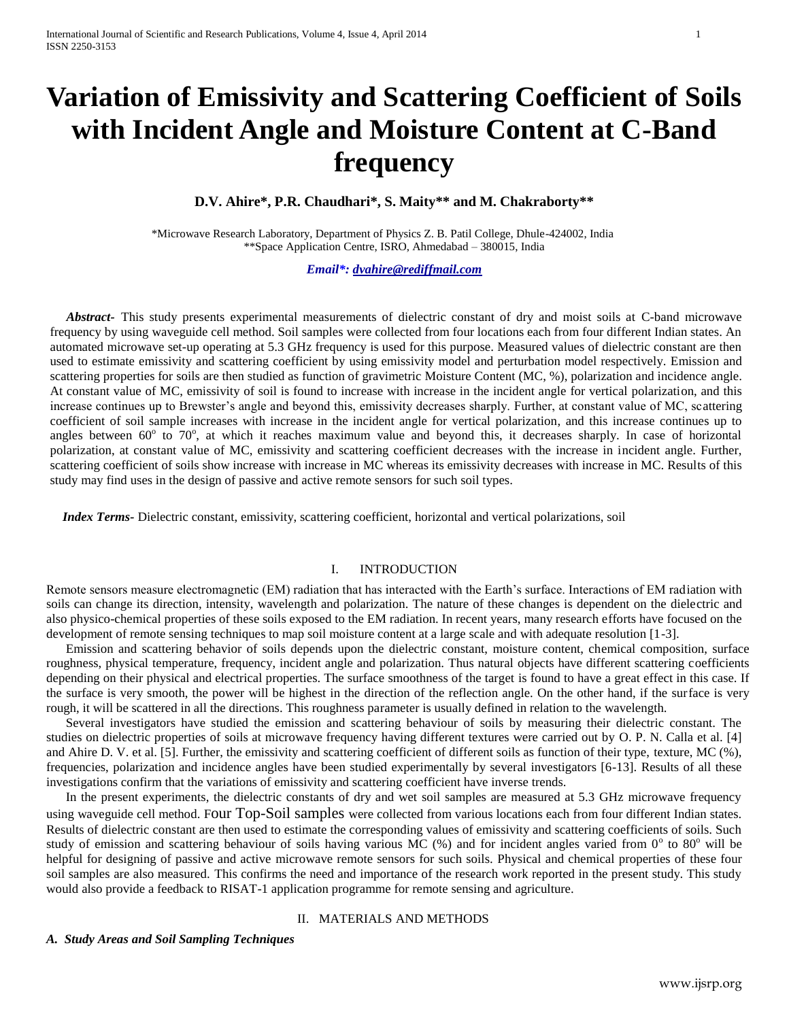# **Variation of Emissivity and Scattering Coefficient of Soils with Incident Angle and Moisture Content at C-Band frequency**

**D.V. Ahire\*, P.R. Chaudhari\*, S. Maity\*\* and M. Chakraborty\*\***

\*Microwave Research Laboratory, Department of Physics Z. B. Patil College, Dhule-424002, India \*\*Space Application Centre, ISRO, Ahmedabad – 380015, India

*Email\*: [dvahire@rediffmail.com](mailto:dvahire@rediffmail.com)*

 *Abstract-* This study presents experimental measurements of dielectric constant of dry and moist soils at C-band microwave frequency by using waveguide cell method. Soil samples were collected from four locations each from four different Indian states. An automated microwave set-up operating at 5.3 GHz frequency is used for this purpose. Measured values of dielectric constant are then used to estimate emissivity and scattering coefficient by using emissivity model and perturbation model respectively. Emission and scattering properties for soils are then studied as function of gravimetric Moisture Content (MC, %), polarization and incidence angle. At constant value of MC, emissivity of soil is found to increase with increase in the incident angle for vertical polarization, and this increase continues up to Brewster's angle and beyond this, emissivity decreases sharply. Further, at constant value of MC, scattering coefficient of soil sample increases with increase in the incident angle for vertical polarization, and this increase continues up to angles between  $60^{\circ}$  to  $70^{\circ}$ , at which it reaches maximum value and beyond this, it decreases sharply. In case of horizontal polarization, at constant value of MC, emissivity and scattering coefficient decreases with the increase in incident angle. Further, scattering coefficient of soils show increase with increase in MC whereas its emissivity decreases with increase in MC. Results of this study may find uses in the design of passive and active remote sensors for such soil types.

 *Index Terms-* Dielectric constant, emissivity, scattering coefficient, horizontal and vertical polarizations, soil

# I. INTRODUCTION

Remote sensors measure electromagnetic (EM) radiation that has interacted with the Earth's surface. Interactions of EM radiation with soils can change its direction, intensity, wavelength and polarization. The nature of these changes is dependent on the dielectric and also physico-chemical properties of these soils exposed to the EM radiation. In recent years, many research efforts have focused on the development of remote sensing techniques to map soil moisture content at a large scale and with adequate resolution [1-3].

 Emission and scattering behavior of soils depends upon the dielectric constant, moisture content, chemical composition, surface roughness, physical temperature, frequency, incident angle and polarization. Thus natural objects have different scattering coefficients depending on their physical and electrical properties. The surface smoothness of the target is found to have a great effect in this case. If the surface is very smooth, the power will be highest in the direction of the reflection angle. On the other hand, if the surface is very rough, it will be scattered in all the directions. This roughness parameter is usually defined in relation to the wavelength.

 Several investigators have studied the emission and scattering behaviour of soils by measuring their dielectric constant. The studies on dielectric properties of soils at microwave frequency having different textures were carried out by O. P. N. Calla et al. [4] and Ahire D. V. et al. [5]. Further, the emissivity and scattering coefficient of different soils as function of their type, texture, MC (%), frequencies, polarization and incidence angles have been studied experimentally by several investigators [6-13]. Results of all these investigations confirm that the variations of emissivity and scattering coefficient have inverse trends.

 In the present experiments, the dielectric constants of dry and wet soil samples are measured at 5.3 GHz microwave frequency using waveguide cell method. Four Top-Soil samples were collected from various locations each from four different Indian states. Results of dielectric constant are then used to estimate the corresponding values of emissivity and scattering coefficients of soils. Such study of emission and scattering behaviour of soils having various MC  $(\%)$  and for incident angles varied from  $0^{\circ}$  to  $80^{\circ}$  will be helpful for designing of passive and active microwave remote sensors for such soils. Physical and chemical properties of these four soil samples are also measured. This confirms the need and importance of the research work reported in the present study. This study would also provide a feedback to RISAT-1 application programme for remote sensing and agriculture.

## II. MATERIALS AND METHODS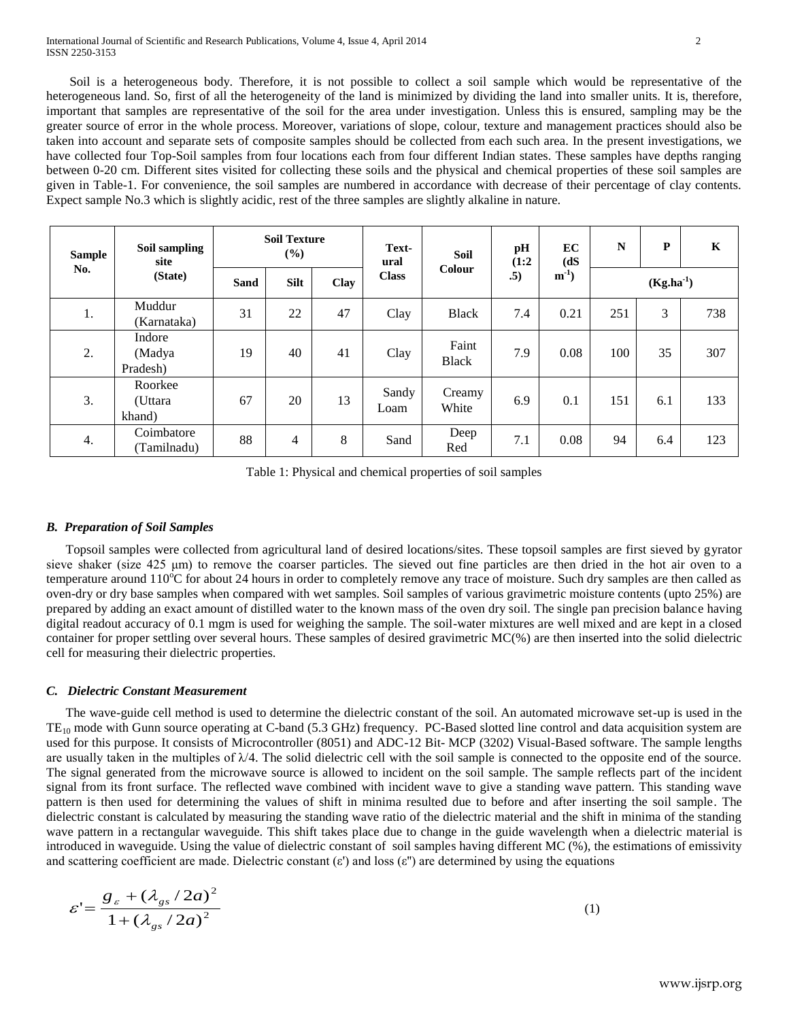Soil is a heterogeneous body. Therefore, it is not possible to collect a soil sample which would be representative of the heterogeneous land. So, first of all the heterogeneity of the land is minimized by dividing the land into smaller units. It is, therefore, important that samples are representative of the soil for the area under investigation. Unless this is ensured, sampling may be the greater source of error in the whole process. Moreover, variations of slope, colour, texture and management practices should also be taken into account and separate sets of composite samples should be collected from each such area. In the present investigations, we have collected four Top-Soil samples from four locations each from four different Indian states. These samples have depths ranging between 0-20 cm. Different sites visited for collecting these soils and the physical and chemical properties of these soil samples are given in Table-1. For convenience, the soil samples are numbered in accordance with decrease of their percentage of clay contents. Expect sample No.3 which is slightly acidic, rest of the three samples are slightly alkaline in nature.

| <b>Sample</b><br>No. | Soil sampling<br>site<br>(State) | <b>Soil Texture</b><br>(%) |             |      | Text-<br>ural | <b>Soil</b>           | pH<br>(1:2) | EC<br>(dS) | $\mathbb{N}$   | P   | $\mathbf K$ |
|----------------------|----------------------------------|----------------------------|-------------|------|---------------|-----------------------|-------------|------------|----------------|-----|-------------|
|                      |                                  | <b>Sand</b>                | <b>Silt</b> | Clay | <b>Class</b>  | Colour                | .5)         | $m^{-1}$   | $(Kg.ha^{-1})$ |     |             |
| 1.                   | Muddur<br>(Karnataka)            | 31                         | 22          | 47   | Clay          | <b>Black</b>          | 7.4         | 0.21       | 251            | 3   | 738         |
| 2.                   | Indore<br>(Madya<br>Pradesh)     | 19                         | 40          | 41   | Clay          | Faint<br><b>Black</b> | 7.9         | 0.08       | 100            | 35  | 307         |
| 3.                   | Roorkee<br>(Uttara<br>khand)     | 67                         | 20          | 13   | Sandy<br>Loam | Creamy<br>White       | 6.9         | 0.1        | 151            | 6.1 | 133         |
| 4.                   | Coimbatore<br>(Tamilnadu)        | 88                         | 4           | 8    | Sand          | Deep<br>Red           | 7.1         | 0.08       | 94             | 6.4 | 123         |

Table 1: Physical and chemical properties of soil samples

# *B. Preparation of Soil Samples*

 Topsoil samples were collected from agricultural land of desired locations/sites. These topsoil samples are first sieved by gyrator sieve shaker (size 425 μm) to remove the coarser particles. The sieved out fine particles are then dried in the hot air oven to a temperature around  $110^{\circ}$ C for about 24 hours in order to completely remove any trace of moisture. Such dry samples are then called as oven-dry or dry base samples when compared with wet samples. Soil samples of various gravimetric moisture contents (upto 25%) are prepared by adding an exact amount of distilled water to the known mass of the oven dry soil. The single pan precision balance having digital readout accuracy of 0.1 mgm is used for weighing the sample. The soil-water mixtures are well mixed and are kept in a closed container for proper settling over several hours. These samples of desired gravimetric MC(%) are then inserted into the solid dielectric cell for measuring their dielectric properties.

# *C. Dielectric Constant Measurement*

 The wave-guide cell method is used to determine the dielectric constant of the soil. An automated microwave set-up is used in the  $TE_{10}$  mode with Gunn source operating at C-band (5.3 GHz) frequency. PC-Based slotted line control and data acquisition system are used for this purpose. It consists of Microcontroller (8051) and ADC-12 Bit- MCP (3202) Visual-Based software. The sample lengths are usually taken in the multiples of  $\lambda/4$ . The solid dielectric cell with the soil sample is connected to the opposite end of the source. The signal generated from the microwave source is allowed to incident on the soil sample. The sample reflects part of the incident signal from its front surface. The reflected wave combined with incident wave to give a standing wave pattern. This standing wave pattern is then used for determining the values of shift in minima resulted due to before and after inserting the soil sample. The dielectric constant is calculated by measuring the standing wave ratio of the dielectric material and the shift in minima of the standing wave pattern in a rectangular waveguide. This shift takes place due to change in the guide wavelength when a dielectric material is introduced in waveguide. Using the value of dielectric constant of soil samples having different MC (%), the estimations of emissivity and scattering coefficient are made. Dielectric constant (ε') and loss (ε'') are determined by using the equations

$$
\varepsilon = \frac{g_{\varepsilon} + (\lambda_{gs}/2a)^2}{1 + (\lambda_{gs}/2a)^2}
$$
 (1)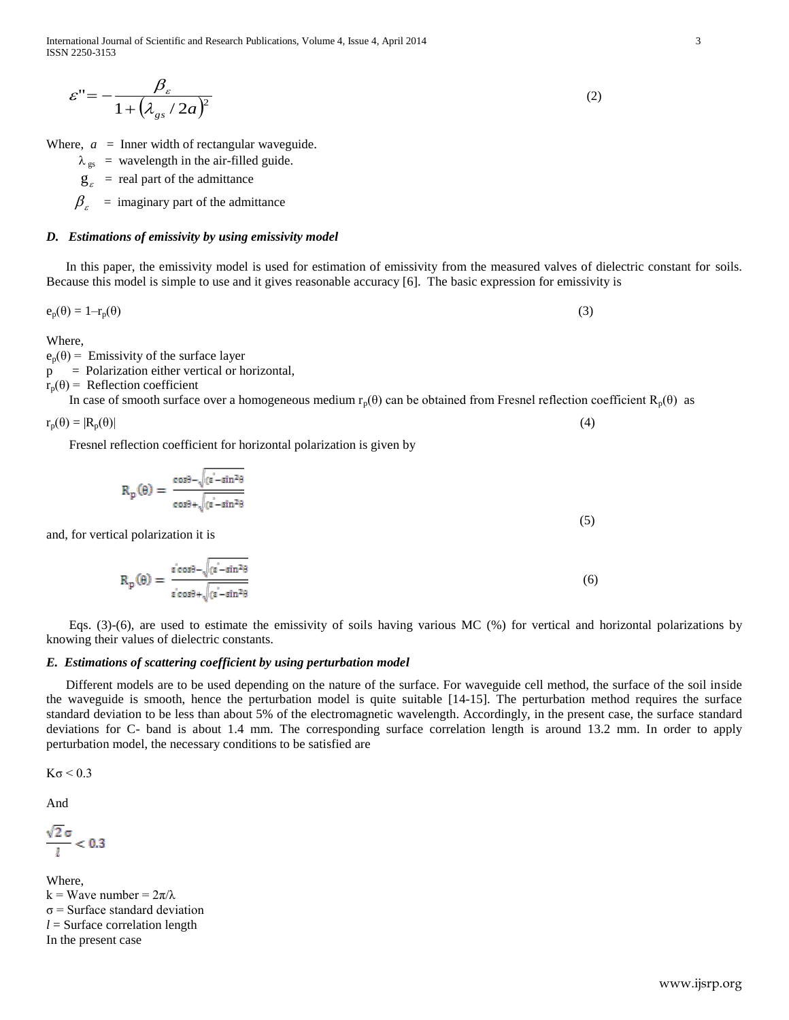International Journal of Scientific and Research Publications, Volume 4, Issue 4, April 2014 3 ISSN 2250-3153

$$
\varepsilon'' = -\frac{\beta_{\varepsilon}}{1 + (\lambda_{gs}/2a)^2} \tag{2}
$$

Where,  $a =$  Inner width of rectangular waveguide.

- $\lambda_{gs}$  = wavelength in the air-filled guide.
- $g_{\varepsilon}$  = real part of the admittance

 $\beta_{\varepsilon}$  = imaginary part of the admittance

### *D. Estimations of emissivity by using emissivity model*

 In this paper, the emissivity model is used for estimation of emissivity from the measured valves of dielectric constant for soils. Because this model is simple to use and it gives reasonable accuracy [6]. The basic expression for emissivity is

$$
e_p(\theta) = 1 - r_p(\theta) \tag{3}
$$

Where,

 $e_p(\theta)$  = Emissivity of the surface layer

p = Polarization either vertical or horizontal,

 $r_p(\theta)$  = Reflection coefficient

In case of smooth surface over a homogeneous medium  $r_p(\theta)$  can be obtained from Fresnel reflection coefficient  $R_p(\theta)$  as

 $r_p(\theta) = |R_p(\theta)|$  (4)

Fresnel reflection coefficient for horizontal polarization is given by

$$
R_p(\theta) = \frac{\cos\theta - \sqrt{(\epsilon - \sin^2\theta)}}{\cos\theta + \sqrt{(\epsilon - \sin^2\theta)}}
$$
(5)

and, for vertical polarization it is

$$
R_p(\theta) = \frac{\epsilon^{2} \cos \theta - \sqrt{(\epsilon^{2} - \sin^{2} \theta)}}{\epsilon^{2} \cos \theta + \sqrt{(\epsilon^{2} - \sin^{2} \theta)}}
$$
(6)

 Eqs. (3)-(6), are used to estimate the emissivity of soils having various MC (%) for vertical and horizontal polarizations by knowing their values of dielectric constants.

# *E. Estimations of scattering coefficient by using perturbation model*

 Different models are to be used depending on the nature of the surface. For waveguide cell method, the surface of the soil inside the waveguide is smooth, hence the perturbation model is quite suitable [14-15]. The perturbation method requires the surface standard deviation to be less than about 5% of the electromagnetic wavelength. Accordingly, in the present case, the surface standard deviations for C- band is about 1.4 mm. The corresponding surface correlation length is around 13.2 mm. In order to apply perturbation model, the necessary conditions to be satisfied are

 $K\sigma \leq 0.3$ 

And

$$
\frac{\sqrt{2}\,\sigma}{l} < 0.3
$$

Where, k = Wave number =  $2\pi/\lambda$  $\sigma$  = Surface standard deviation  $l =$  Surface correlation length In the present case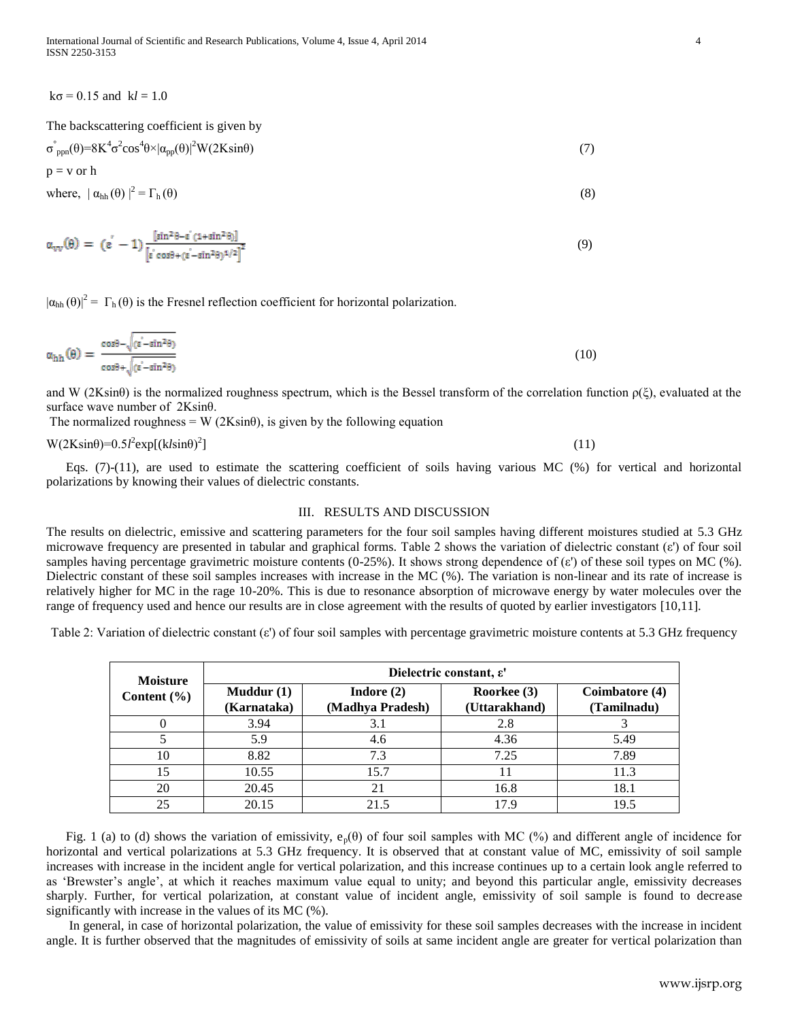$k\sigma = 0.15$  and  $k*l* = 1.0$ 

The backscattering coefficient is given by

$$
\sigma^{\circ}_{ppn}(\theta) = 8K^4\sigma^2\cos^4\theta \times |\alpha_{pp}(\theta)|^2 W(2K\sin\theta) \tag{7}
$$

 $p = v$  or  $h$ 

where, 
$$
|\alpha_{hh}(\theta)|^2 = \Gamma_h(\theta)
$$
 (8)

$$
\alpha_{\text{VV}}(\theta) = (\epsilon^{'}-1) \frac{[\sin^2 \theta - \epsilon^{'}(1+\sin^2 \theta)]}{\left[\epsilon^{'}\cos \theta + (\epsilon^{'}-\sin^2 \theta)^{1/2}\right]^2}
$$
\n(9)

 $|\alpha_{hh}(\theta)|^2 = \Gamma_h(\theta)$  is the Fresnel reflection coefficient for horizontal polarization.

$$
\alpha_{hh}(\theta) = \frac{\cos\theta - \sqrt{(\varepsilon - \sin^2\theta)}}{\cos\theta + \sqrt{(\varepsilon - \sin^2\theta)}}
$$
(10)

and W ( $2K\sin\theta$ ) is the normalized roughness spectrum, which is the Bessel transform of the correlation function  $\rho(\xi)$ , evaluated at the surface wave number of 2Ksinθ.

The normalized roughness = W ( $2K\sin\theta$ ), is given by the following equation

$$
W(2K\sin\theta) = 0.5l^2 \exp[(k\sin\theta)^2]
$$
\n(11)

Eqs.  $(7)-(11)$ , are used to estimate the scattering coefficient of soils having various MC  $(\%)$  for vertical and horizontal polarizations by knowing their values of dielectric constants.

### III. RESULTS AND DISCUSSION

The results on dielectric, emissive and scattering parameters for the four soil samples having different moistures studied at 5.3 GHz microwave frequency are presented in tabular and graphical forms. Table 2 shows the variation of dielectric constant  $(\varepsilon')$  of four soil samples having percentage gravimetric moisture contents (0-25%). It shows strong dependence of (ε') of these soil types on MC (%). Dielectric constant of these soil samples increases with increase in the MC (%). The variation is non-linear and its rate of increase is relatively higher for MC in the rage 10-20%. This is due to resonance absorption of microwave energy by water molecules over the range of frequency used and hence our results are in close agreement with the results of quoted by earlier investigators [10,11].

Table 2: Variation of dielectric constant (ε') of four soil samples with percentage gravimetric moisture contents at 5.3 GHz frequency

| <b>Moisture</b> | Dielectric constant, $\varepsilon'$ |                                  |                              |                               |  |  |  |  |  |
|-----------------|-------------------------------------|----------------------------------|------------------------------|-------------------------------|--|--|--|--|--|
| Content $(\% )$ | Muddur(1)<br>(Karnataka)            | Indore $(2)$<br>(Madhya Pradesh) | Roorkee (3)<br>(Uttarakhand) | Coimbatore (4)<br>(Tamilnadu) |  |  |  |  |  |
|                 | 3.94                                | 3.1                              | 2.8                          |                               |  |  |  |  |  |
|                 | 5.9                                 | 4.6                              | 4.36                         | 5.49                          |  |  |  |  |  |
| 10              | 8.82                                | 7.3                              | 7.25                         | 7.89                          |  |  |  |  |  |
| 15              | 10.55                               | 15.7                             | 11                           | 11.3                          |  |  |  |  |  |
| 20              | 20.45                               | 21                               | 16.8                         | 18.1                          |  |  |  |  |  |
| 25              | 20.15                               | 21.5                             | 17.9                         | 19.5                          |  |  |  |  |  |

Fig. 1 (a) to (d) shows the variation of emissivity,  $e_p(\theta)$  of four soil samples with MC (%) and different angle of incidence for horizontal and vertical polarizations at 5.3 GHz frequency. It is observed that at constant value of MC, emissivity of soil sample increases with increase in the incident angle for vertical polarization, and this increase continues up to a certain look angle referred to as 'Brewster's angle', at which it reaches maximum value equal to unity; and beyond this particular angle, emissivity decreases sharply. Further, for vertical polarization, at constant value of incident angle, emissivity of soil sample is found to decrease significantly with increase in the values of its MC (%).

 In general, in case of horizontal polarization, the value of emissivity for these soil samples decreases with the increase in incident angle. It is further observed that the magnitudes of emissivity of soils at same incident angle are greater for vertical polarization than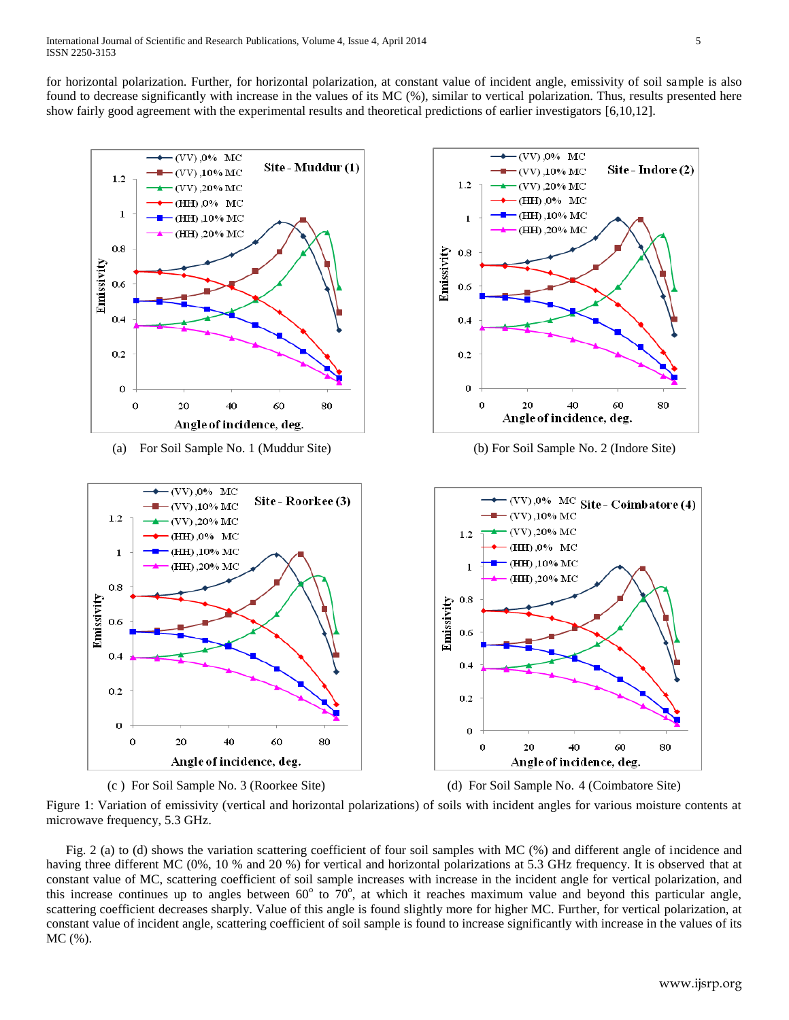for horizontal polarization. Further, for horizontal polarization, at constant value of incident angle, emissivity of soil sample is also found to decrease significantly with increase in the values of its MC (%), similar to vertical polarization. Thus, results presented here show fairly good agreement with the experimental results and theoretical predictions of earlier investigators [6,10,12].





Figure 1: Variation of emissivity (vertical and horizontal polarizations) of soils with incident angles for various moisture contents at microwave frequency, 5.3 GHz.

 Fig. 2 (a) to (d) shows the variation scattering coefficient of four soil samples with MC (%) and different angle of incidence and having three different MC (0%, 10 % and 20 %) for vertical and horizontal polarizations at 5.3 GHz frequency. It is observed that at constant value of MC, scattering coefficient of soil sample increases with increase in the incident angle for vertical polarization, and this increase continues up to angles between  $60^{\circ}$  to  $70^{\circ}$ , at which it reaches maximum value and beyond this particular angle, scattering coefficient decreases sharply. Value of this angle is found slightly more for higher MC. Further, for vertical polarization, at constant value of incident angle, scattering coefficient of soil sample is found to increase significantly with increase in the values of its MC (%).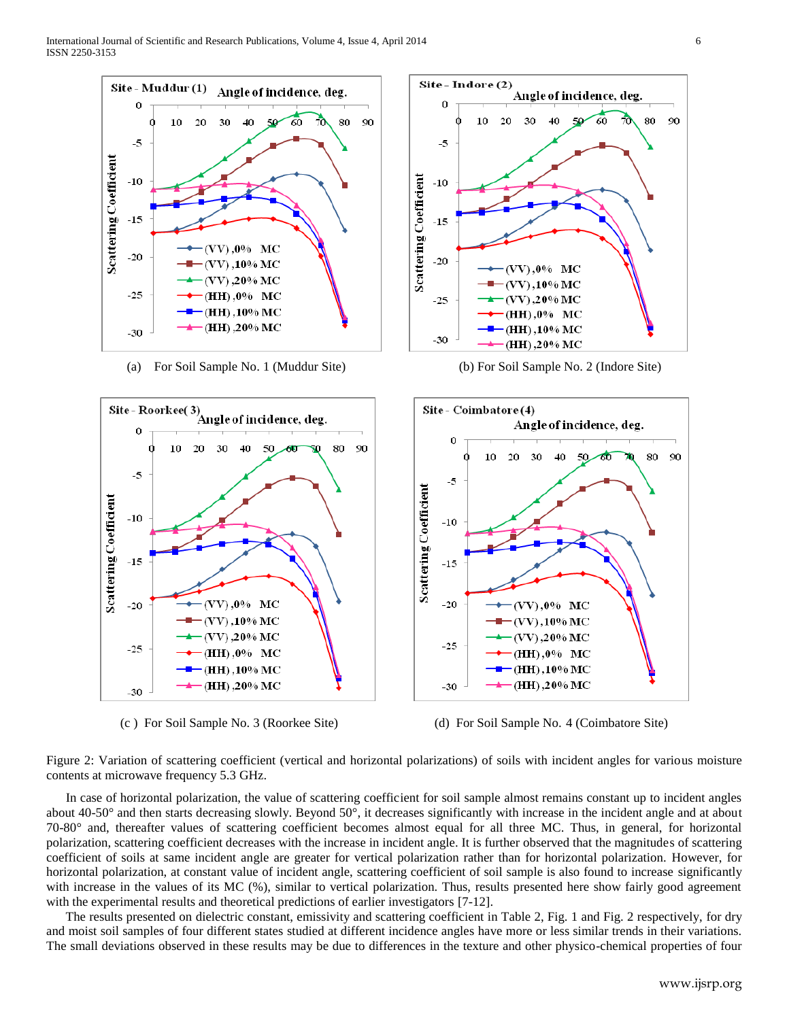

(a) For Soil Sample No. 1 (Muddur Site) (b) For Soil Sample No. 2 (Indore Site)





(c ) For Soil Sample No. 3 (Roorkee Site) (d) For Soil Sample No. 4 (Coimbatore Site)

Figure 2: Variation of scattering coefficient (vertical and horizontal polarizations) of soils with incident angles for various moisture contents at microwave frequency 5.3 GHz.

 In case of horizontal polarization, the value of scattering coefficient for soil sample almost remains constant up to incident angles about 40-50° and then starts decreasing slowly. Beyond 50°, it decreases significantly with increase in the incident angle and at about 70-80° and, thereafter values of scattering coefficient becomes almost equal for all three MC. Thus, in general, for horizontal polarization, scattering coefficient decreases with the increase in incident angle. It is further observed that the magnitudes of scattering coefficient of soils at same incident angle are greater for vertical polarization rather than for horizontal polarization. However, for horizontal polarization, at constant value of incident angle, scattering coefficient of soil sample is also found to increase significantly with increase in the values of its MC (%), similar to vertical polarization. Thus, results presented here show fairly good agreement with the experimental results and theoretical predictions of earlier investigators [7-12].

 The results presented on dielectric constant, emissivity and scattering coefficient in Table 2, Fig. 1 and Fig. 2 respectively, for dry and moist soil samples of four different states studied at different incidence angles have more or less similar trends in their variations. The small deviations observed in these results may be due to differences in the texture and other physico-chemical properties of four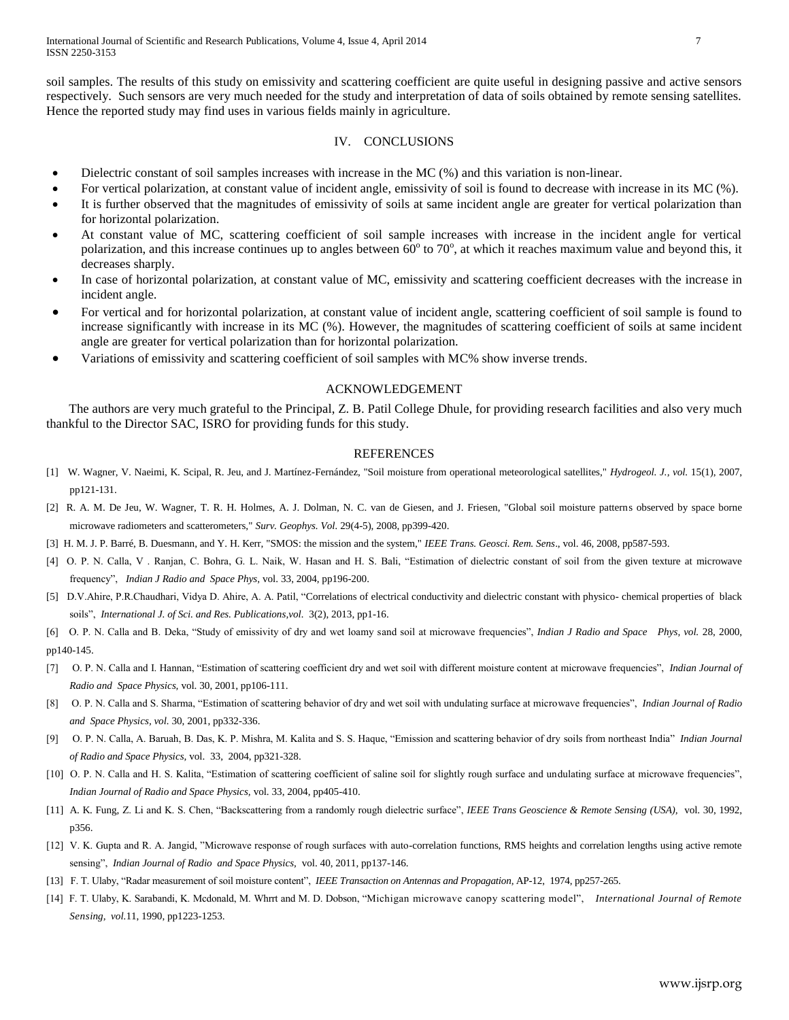soil samples. The results of this study on emissivity and scattering coefficient are quite useful in designing passive and active sensors respectively. Such sensors are very much needed for the study and interpretation of data of soils obtained by remote sensing satellites. Hence the reported study may find uses in various fields mainly in agriculture.

# IV. CONCLUSIONS

- Dielectric constant of soil samples increases with increase in the MC (%) and this variation is non-linear.
- For vertical polarization, at constant value of incident angle, emissivity of soil is found to decrease with increase in its MC (%).
- It is further observed that the magnitudes of emissivity of soils at same incident angle are greater for vertical polarization than for horizontal polarization.
- At constant value of MC, scattering coefficient of soil sample increases with increase in the incident angle for vertical polarization, and this increase continues up to angles between  $60^{\circ}$  to 70°, at which it reaches maximum value and beyond this, it decreases sharply.
- In case of horizontal polarization, at constant value of MC, emissivity and scattering coefficient decreases with the increase in incident angle.
- For vertical and for horizontal polarization, at constant value of incident angle, scattering coefficient of soil sample is found to increase significantly with increase in its MC (%). However, the magnitudes of scattering coefficient of soils at same incident angle are greater for vertical polarization than for horizontal polarization.
- Variations of emissivity and scattering coefficient of soil samples with MC% show inverse trends.

# ACKNOWLEDGEMENT

 The authors are very much grateful to the Principal, Z. B. Patil College Dhule, for providing research facilities and also very much thankful to the Director SAC, ISRO for providing funds for this study.

#### REFERENCES

- [1] W. Wagner, V. Naeimi, K. Scipal, R. Jeu, and J. Martínez-Fernández, "Soil moisture from operational meteorological satellites," *Hydrogeol. J., vol.* 15(1), 2007, pp121-131.
- [2] R. A. M. De Jeu, W. Wagner, T. R. H. Holmes, A. J. Dolman, N. C. van de Giesen, and J. Friesen, "Global soil moisture patterns observed by space borne microwave radiometers and scatterometers," *Surv. Geophys. Vol.* 29(4-5), 2008, pp399-420.
- [3] H. M. J. P. Barré, B. Duesmann, and Y. H. Kerr, "SMOS: the mission and the system," *IEEE Trans. Geosci. Rem. Sens*., vol. 46, 2008, pp587-593.
- [4] O. P. N. Calla, V . Ranjan, C. Bohra, G. L. Naik, W. Hasan and H. S. Bali, "Estimation of dielectric constant of soil from the given texture at microwave frequency", *Indian J Radio and Space Phys,* vol. 33, 2004, pp196-200.
- [5] D.V.Ahire, P.R.Chaudhari, Vidya D. Ahire, A. A. Patil, "Correlations of electrical conductivity and dielectric constant with physico- chemical properties of black soils", *International J. of Sci. and Res. Publications,vol.* 3(2), 2013, pp1-16.

[6] O. P. N. Calla and B. Deka, "Study of emissivity of dry and wet loamy sand soil at microwave frequencies", *Indian J Radio and Space Phys, vol.* 28, 2000, pp140-145.

- [7] O. P. N. Calla and I. Hannan, "Estimation of scattering coefficient dry and wet soil with different moisture content at microwave frequencies", *Indian Journal of Radio and Space Physics,* vol. 30, 2001, pp106-111.
- [8] O. P. N. Calla and S. Sharma, "Estimation of scattering behavior of dry and wet soil with undulating surface at microwave frequencies", *Indian Journal of Radio and Space Physics, vol.* 30, 2001, pp332-336.
- [9] O. P. N. Calla, A. Baruah, B. Das, K. P. Mishra, M. Kalita and S. S. Haque, "Emission and scattering behavior of dry soils from northeast India" *Indian Journal of Radio and Space Physics,* vol. 33, 2004, pp321-328.
- [10] O. P. N. Calla and H. S. Kalita, "Estimation of scattering coefficient of saline soil for slightly rough surface and undulating surface at microwave frequencies", *Indian Journal of Radio and Space Physics,* vol. 33, 2004, pp405-410.
- [11] A. K. Fung, Z. Li and K. S. Chen, "Backscattering from a randomly rough dielectric surface", *IEEE Trans Geoscience & Remote Sensing (USA),* vol. 30, 1992, p356.
- [12] V. K. Gupta and R. A. Jangid, "Microwave response of rough surfaces with auto-correlation functions, RMS heights and correlation lengths using active remote sensing", *Indian Journal of Radio and Space Physics,* vol. 40, 2011, pp137-146.
- [13] F. T. Ulaby, "Radar measurement of soil moisture content", *IEEE Transaction on Antennas and Propagation,* AP-12, 1974, pp257-265.
- [14] F. T. Ulaby, K. Sarabandi, K. Mcdonald, M. Whrrt and M. D. Dobson, "Michigan microwave canopy scattering model", *International Journal of Remote Sensing, vol.*11, 1990, pp1223-1253.